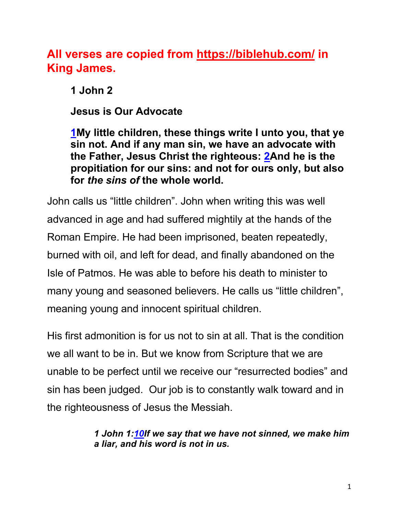## **All verses are copied from https://biblehub.com/ in King James.**

**1 John 2**

**Jesus is Our Advocate**

**1My little children, these things write I unto you, that ye sin not. And if any man sin, we have an advocate with the Father, Jesus Christ the righteous: 2And he is the propitiation for our sins: and not for ours only, but also for** *the sins of* **the whole world.**

John calls us "little children". John when writing this was well advanced in age and had suffered mightily at the hands of the Roman Empire. He had been imprisoned, beaten repeatedly, burned with oil, and left for dead, and finally abandoned on the Isle of Patmos. He was able to before his death to minister to many young and seasoned believers. He calls us "little children", meaning young and innocent spiritual children.

His first admonition is for us not to sin at all. That is the condition we all want to be in. But we know from Scripture that we are unable to be perfect until we receive our "resurrected bodies" and sin has been judged. Our job is to constantly walk toward and in the righteousness of Jesus the Messiah.

> *1 John 1:10If we say that we have not sinned, we make him a liar, and his word is not in us.*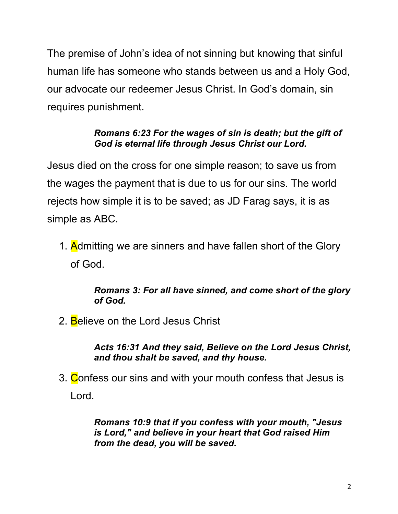The premise of John's idea of not sinning but knowing that sinful human life has someone who stands between us and a Holy God, our advocate our redeemer Jesus Christ. In God's domain, sin requires punishment.

#### *Romans 6:23 For the wages of sin is death; but the gift of God is eternal life through Jesus Christ our Lord.*

Jesus died on the cross for one simple reason; to save us from the wages the payment that is due to us for our sins. The world rejects how simple it is to be saved; as JD Farag says, it is as simple as ABC.

1. Admitting we are sinners and have fallen short of the Glory of God.

#### *Romans 3: For all have sinned, and come short of the glory of God.*

2. Believe on the Lord Jesus Christ

*Acts 16:31 And they said, Believe on the Lord Jesus Christ, and thou shalt be saved, and thy house.*

3. Confess our sins and with your mouth confess that Jesus is Lord.

> *Romans 10:9 that if you confess with your mouth, "Jesus is Lord," and believe in your heart that God raised Him from the dead, you will be saved.*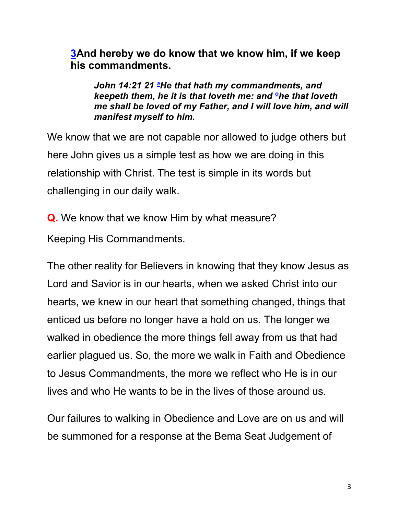**3And hereby we do know that we know him, if we keep his commandments.**

*John 14:21 21 <sup>a</sup> He that hath my commandments, and keepeth them, he it is that loveth me: and <sup>o</sup>he that loveth me shall be loved of my Father, and I will love him, and will manifest myself to him.*

We know that we are not capable nor allowed to judge others but here John gives us a simple test as how we are doing in this relationship with Christ. The test is simple in its words but challenging in our daily walk.

**Q.** We know that we know Him by what measure?

Keeping His Commandments.

The other reality for Believers in knowing that they know Jesus as Lord and Savior is in our hearts, when we asked Christ into our hearts, we knew in our heart that something changed, things that enticed us before no longer have a hold on us. The longer we walked in obedience the more things fell away from us that had earlier plagued us. So, the more we walk in Faith and Obedience to Jesus Commandments, the more we reflect who He is in our lives and who He wants to be in the lives of those around us.

Our failures to walking in Obedience and Love are on us and will be summoned for a response at the Bema Seat Judgement of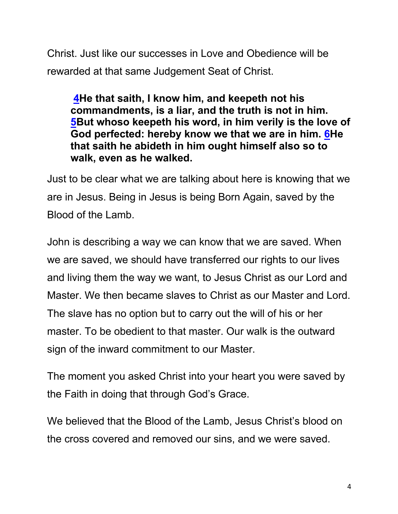Christ. Just like our successes in Love and Obedience will be rewarded at that same Judgement Seat of Christ.

**4He that saith, I know him, and keepeth not his commandments, is a liar, and the truth is not in him. 5But whoso keepeth his word, in him verily is the love of God perfected: hereby know we that we are in him. 6He that saith he abideth in him ought himself also so to walk, even as he walked.**

Just to be clear what we are talking about here is knowing that we are in Jesus. Being in Jesus is being Born Again, saved by the Blood of the Lamb.

John is describing a way we can know that we are saved. When we are saved, we should have transferred our rights to our lives and living them the way we want, to Jesus Christ as our Lord and Master. We then became slaves to Christ as our Master and Lord. The slave has no option but to carry out the will of his or her master. To be obedient to that master. Our walk is the outward sign of the inward commitment to our Master.

The moment you asked Christ into your heart you were saved by the Faith in doing that through God's Grace.

We believed that the Blood of the Lamb, Jesus Christ's blood on the cross covered and removed our sins, and we were saved.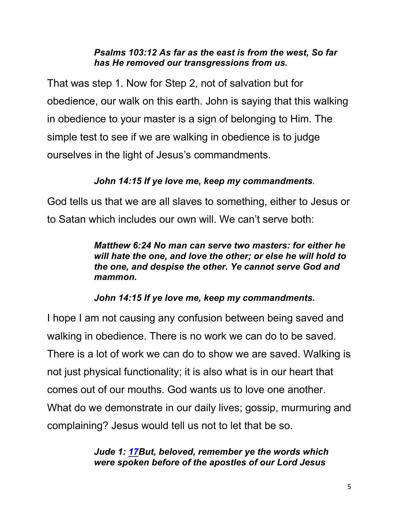#### *Psalms 103:12 As far as the east is from the west, So far has He removed our transgressions from us.*

That was step 1. Now for Step 2, not of salvation but for obedience, our walk on this earth. John is saying that this walking in obedience to your master is a sign of belonging to Him. The simple test to see if we are walking in obedience is to judge ourselves in the light of Jesus's commandments.

### *John 14:15 If ye love me, keep my commandments*.

God tells us that we are all slaves to something, either to Jesus or to Satan which includes our own will. We can't serve both:

> *Matthew 6:24 No man can serve two masters: for either he will hate the one, and love the other; or else he will hold to the one, and despise the other. Ye cannot serve God and mammon.*

#### *John 14:15 If ye love me, keep my commandments.*

I hope I am not causing any confusion between being saved and walking in obedience. There is no work we can do to be saved. There is a lot of work we can do to show we are saved. Walking is not just physical functionality; it is also what is in our heart that comes out of our mouths. God wants us to love one another. What do we demonstrate in our daily lives; gossip, murmuring and complaining? Jesus would tell us not to let that be so.

> *Jude 1: 17But, beloved, remember ye the words which were spoken before of the apostles of our Lord Jesus*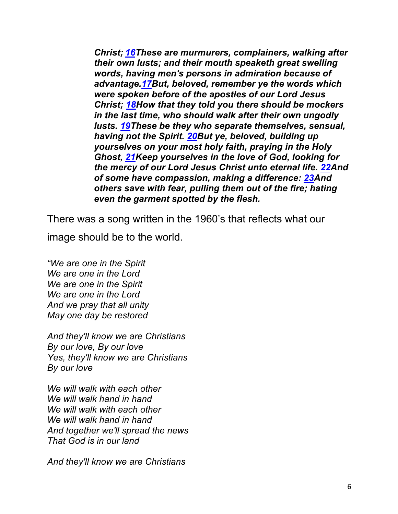*Christ; 16These are murmurers, complainers, walking after their own lusts; and their mouth speaketh great swelling words, having men's persons in admiration because of advantage.17But, beloved, remember ye the words which were spoken before of the apostles of our Lord Jesus Christ; 18How that they told you there should be mockers in the last time, who should walk after their own ungodly lusts. 19These be they who separate themselves, sensual, having not the Spirit. 20But ye, beloved, building up yourselves on your most holy faith, praying in the Holy Ghost, 21Keep yourselves in the love of God, looking for the mercy of our Lord Jesus Christ unto eternal life. 22And of some have compassion, making a difference: 23And others save with fear, pulling them out of the fire; hating even the garment spotted by the flesh.*

There was a song written in the 1960's that reflects what our

image should be to the world.

*"We are one in the Spirit We are one in the Lord We are one in the Spirit We are one in the Lord And we pray that all unity May one day be restored*

*And they'll know we are Christians By our love, By our love Yes, they'll know we are Christians By our love*

*We will walk with each other We will walk hand in hand We will walk with each other We will walk hand in hand And together we'll spread the news That God is in our land*

*And they'll know we are Christians*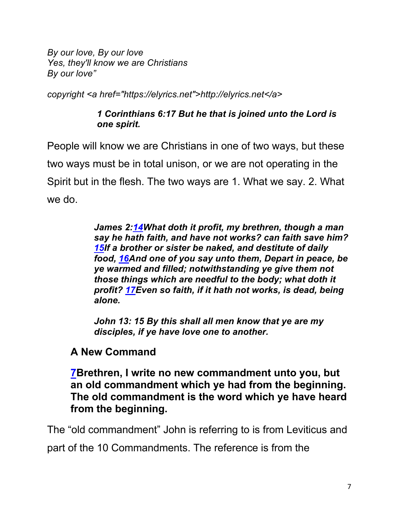*By our love, By our love Yes, they'll know we are Christians By our love"*

*copyright <a href="https://elyrics.net">http://elyrics.net</a>* 

#### *1 Corinthians 6:17 But he that is joined unto the Lord is one spirit.*

People will know we are Christians in one of two ways, but these two ways must be in total unison, or we are not operating in the Spirit but in the flesh. The two ways are 1. What we say. 2. What we do.

> *James 2:14What doth it profit, my brethren, though a man say he hath faith, and have not works? can faith save him? 15If a brother or sister be naked, and destitute of daily food, 16And one of you say unto them, Depart in peace, be ye warmed and filled; notwithstanding ye give them not those things which are needful to the body; what doth it profit? 17Even so faith, if it hath not works, is dead, being alone.*

*John 13: 15 By this shall all men know that ye are my disciples, if ye have love one to another.*

## **A New Command**

**7Brethren, I write no new commandment unto you, but an old commandment which ye had from the beginning. The old commandment is the word which ye have heard from the beginning.**

The "old commandment" John is referring to is from Leviticus and part of the 10 Commandments. The reference is from the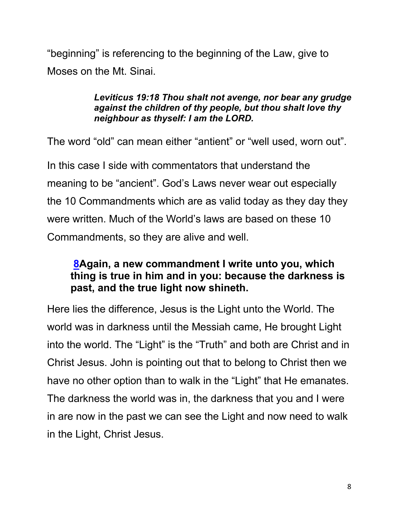"beginning" is referencing to the beginning of the Law, give to Moses on the Mt. Sinai.

#### *Leviticus 19:18 Thou shalt not avenge, nor bear any grudge against the children of thy people, but thou shalt love thy neighbour as thyself: I am the LORD.*

The word "old" can mean either "antient" or "well used, worn out".

In this case I side with commentators that understand the meaning to be "ancient". God's Laws never wear out especially the 10 Commandments which are as valid today as they day they were written. Much of the World's laws are based on these 10 Commandments, so they are alive and well.

## **8Again, a new commandment I write unto you, which thing is true in him and in you: because the darkness is past, and the true light now shineth.**

Here lies the difference, Jesus is the Light unto the World. The world was in darkness until the Messiah came, He brought Light into the world. The "Light" is the "Truth" and both are Christ and in Christ Jesus. John is pointing out that to belong to Christ then we have no other option than to walk in the "Light" that He emanates. The darkness the world was in, the darkness that you and I were in are now in the past we can see the Light and now need to walk in the Light, Christ Jesus.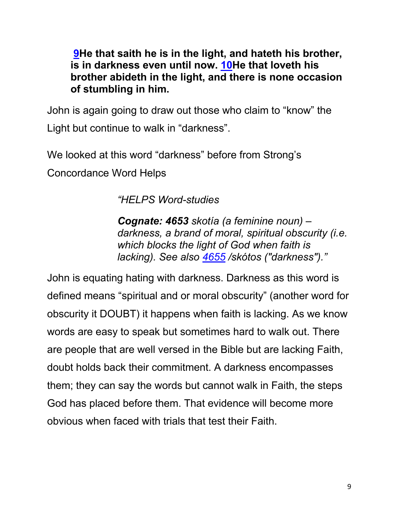**9He that saith he is in the light, and hateth his brother, is in darkness even until now. 10He that loveth his brother abideth in the light, and there is none occasion of stumbling in him.**

John is again going to draw out those who claim to "know" the Light but continue to walk in "darkness".

We looked at this word "darkness" before from Strong's Concordance Word Helps

*"HELPS Word-studies*

*Cognate: 4653 skotía (a feminine noun) – darkness, a brand of moral, spiritual obscurity (i.e. which blocks the light of God when faith is lacking). See also 4655 /skótos ("darkness")."*

John is equating hating with darkness. Darkness as this word is defined means "spiritual and or moral obscurity" (another word for obscurity it DOUBT) it happens when faith is lacking. As we know words are easy to speak but sometimes hard to walk out. There are people that are well versed in the Bible but are lacking Faith, doubt holds back their commitment. A darkness encompasses them; they can say the words but cannot walk in Faith, the steps God has placed before them. That evidence will become more obvious when faced with trials that test their Faith.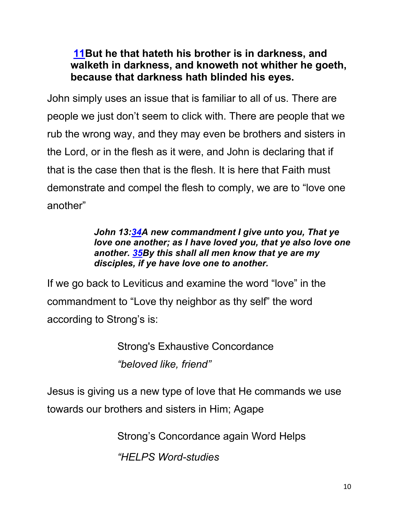## **11But he that hateth his brother is in darkness, and walketh in darkness, and knoweth not whither he goeth, because that darkness hath blinded his eyes.**

John simply uses an issue that is familiar to all of us. There are people we just don't seem to click with. There are people that we rub the wrong way, and they may even be brothers and sisters in the Lord, or in the flesh as it were, and John is declaring that if that is the case then that is the flesh. It is here that Faith must demonstrate and compel the flesh to comply, we are to "love one another"

#### *John 13:34A new commandment I give unto you, That ye love one another; as I have loved you, that ye also love one another. 35By this shall all men know that ye are my disciples, if ye have love one to another.*

If we go back to Leviticus and examine the word "love" in the commandment to "Love thy neighbor as thy self" the word according to Strong's is:

> Strong's Exhaustive Concordance *"beloved like, friend"*

Jesus is giving us a new type of love that He commands we use towards our brothers and sisters in Him; Agape

Strong's Concordance again Word Helps

*"HELPS Word-studies*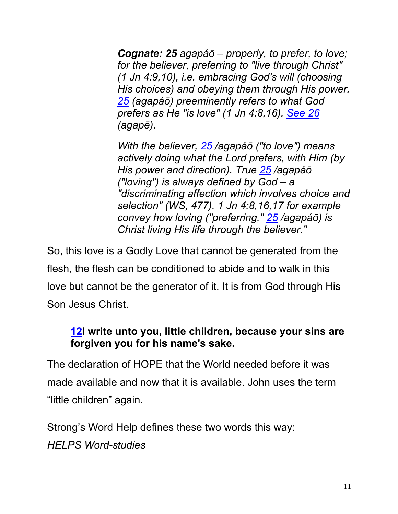*Cognate: 25 agapáō – properly, to prefer, to love; for the believer, preferring to "live through Christ" (1 Jn 4:9,10), i.e. embracing God's will (choosing His choices) and obeying them through His power. 25 (agapáō) preeminently refers to what God prefers as He "is love" (1 Jn 4:8,16). See 26 (agapē).*

*With the believer, 25 /agapáō ("to love") means actively doing what the Lord prefers, with Him (by His power and direction). True 25 /agapáō ("loving") is always defined by God – a "discriminating affection which involves choice and selection" (WS, 477). 1 Jn 4:8,16,17 for example convey how loving ("preferring," 25 /agapáō) is Christ living His life through the believer."*

So, this love is a Godly Love that cannot be generated from the flesh, the flesh can be conditioned to abide and to walk in this love but cannot be the generator of it. It is from God through His Son Jesus Christ.

## **12I write unto you, little children, because your sins are forgiven you for his name's sake.**

The declaration of HOPE that the World needed before it was made available and now that it is available. John uses the term "little children" again.

Strong's Word Help defines these two words this way: *HELPS Word-studies*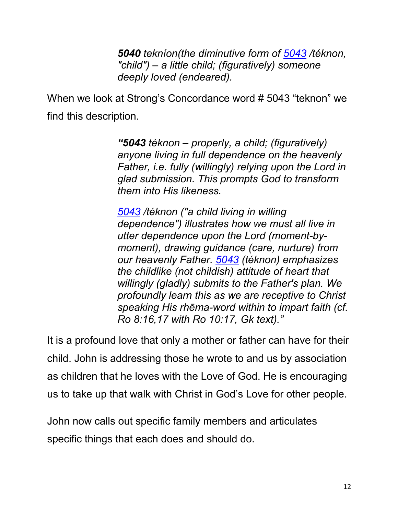*5040 tekníon(the diminutive form of 5043 /téknon, "child") – a little child; (figuratively) someone deeply loved (endeared).*

When we look at Strong's Concordance word # 5043 "teknon" we find this description.

> *"5043 téknon – properly, a child; (figuratively) anyone living in full dependence on the heavenly Father, i.e. fully (willingly) relying upon the Lord in glad submission. This prompts God to transform them into His likeness.*

> *5043 /téknon ("a child living in willing dependence") illustrates how we must all live in utter dependence upon the Lord (moment-bymoment), drawing guidance (care, nurture) from our heavenly Father. 5043 (téknon) emphasizes the childlike (not childish) attitude of heart that willingly (gladly) submits to the Father's plan. We profoundly learn this as we are receptive to Christ speaking His rhēma-word within to impart faith (cf. Ro 8:16,17 with Ro 10:17, Gk text)."*

It is a profound love that only a mother or father can have for their child. John is addressing those he wrote to and us by association as children that he loves with the Love of God. He is encouraging us to take up that walk with Christ in God's Love for other people.

John now calls out specific family members and articulates specific things that each does and should do.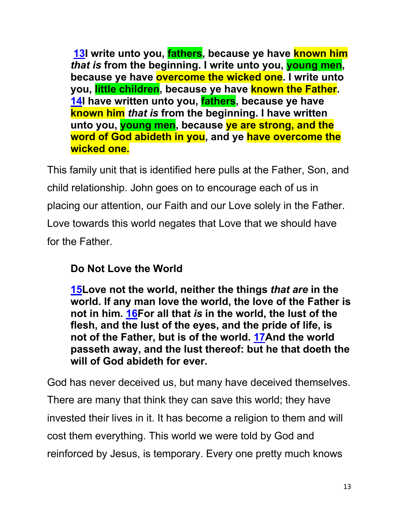**13I write unto you, fathers, because ye have known him** *that is* **from the beginning. I write unto you, young men, because ye have overcome the wicked one. I write unto you, little children, because ye have known the Father. 14I have written unto you, fathers, because ye have known him** *that is* **from the beginning. I have written unto you, young men, because ye are strong, and the word of God abideth in you, and ye have overcome the wicked one.**

This family unit that is identified here pulls at the Father, Son, and child relationship. John goes on to encourage each of us in placing our attention, our Faith and our Love solely in the Father. Love towards this world negates that Love that we should have for the Father.

## **Do Not Love the World**

**15Love not the world, neither the things** *that are* **in the world. If any man love the world, the love of the Father is not in him. 16For all that** *is* **in the world, the lust of the flesh, and the lust of the eyes, and the pride of life, is not of the Father, but is of the world. 17And the world passeth away, and the lust thereof: but he that doeth the will of God abideth for ever.**

God has never deceived us, but many have deceived themselves. There are many that think they can save this world; they have invested their lives in it. It has become a religion to them and will cost them everything. This world we were told by God and reinforced by Jesus, is temporary. Every one pretty much knows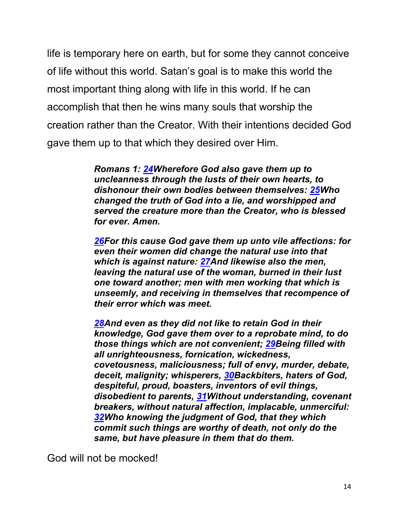life is temporary here on earth, but for some they cannot conceive of life without this world. Satan's goal is to make this world the most important thing along with life in this world. If he can accomplish that then he wins many souls that worship the creation rather than the Creator. With their intentions decided God gave them up to that which they desired over Him.

> *Romans 1: 24Wherefore God also gave them up to uncleanness through the lusts of their own hearts, to dishonour their own bodies between themselves: 25Who changed the truth of God into a lie, and worshipped and served the creature more than the Creator, who is blessed for ever. Amen.*

*26For this cause God gave them up unto vile affections: for even their women did change the natural use into that which is against nature: 27And likewise also the men, leaving the natural use of the woman, burned in their lust one toward another; men with men working that which is unseemly, and receiving in themselves that recompence of their error which was meet.*

*28And even as they did not like to retain God in their knowledge, God gave them over to a reprobate mind, to do those things which are not convenient; 29Being filled with all unrighteousness, fornication, wickedness, covetousness, maliciousness; full of envy, murder, debate, deceit, malignity; whisperers, 30Backbiters, haters of God, despiteful, proud, boasters, inventors of evil things, disobedient to parents, 31Without understanding, covenant breakers, without natural affection, implacable, unmerciful: 32Who knowing the judgment of God, that they which commit such things are worthy of death, not only do the same, but have pleasure in them that do them.*

God will not be mocked!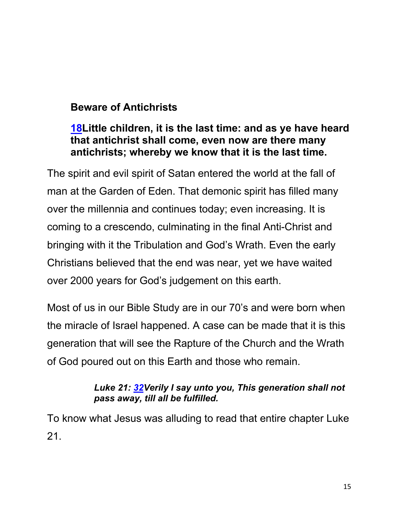## **Beware of Antichrists**

## **18Little children, it is the last time: and as ye have heard that antichrist shall come, even now are there many antichrists; whereby we know that it is the last time.**

The spirit and evil spirit of Satan entered the world at the fall of man at the Garden of Eden. That demonic spirit has filled many over the millennia and continues today; even increasing. It is coming to a crescendo, culminating in the final Anti-Christ and bringing with it the Tribulation and God's Wrath. Even the early Christians believed that the end was near, yet we have waited over 2000 years for God's judgement on this earth.

Most of us in our Bible Study are in our 70's and were born when the miracle of Israel happened. A case can be made that it is this generation that will see the Rapture of the Church and the Wrath of God poured out on this Earth and those who remain.

#### *Luke 21: 32Verily I say unto you, This generation shall not pass away, till all be fulfilled.*

To know what Jesus was alluding to read that entire chapter Luke 21.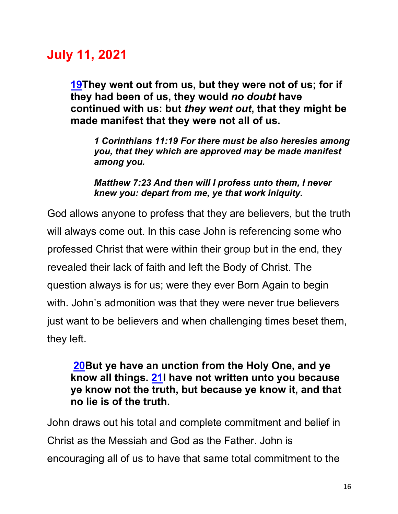# **July 11, 2021**

**19They went out from us, but they were not of us; for if they had been of us, they would** *no doubt* **have continued with us: but** *they went out***, that they might be made manifest that they were not all of us.**

*1 Corinthians 11:19 For there must be also heresies among you, that they which are approved may be made manifest among you.*

*Matthew 7:23 And then will I profess unto them, I never knew you: depart from me, ye that work iniquity.*

God allows anyone to profess that they are believers, but the truth will always come out. In this case John is referencing some who professed Christ that were within their group but in the end, they revealed their lack of faith and left the Body of Christ. The question always is for us; were they ever Born Again to begin with. John's admonition was that they were never true believers just want to be believers and when challenging times beset them, they left.

#### **20But ye have an unction from the Holy One, and ye know all things. 21I have not written unto you because ye know not the truth, but because ye know it, and that no lie is of the truth.**

John draws out his total and complete commitment and belief in Christ as the Messiah and God as the Father. John is encouraging all of us to have that same total commitment to the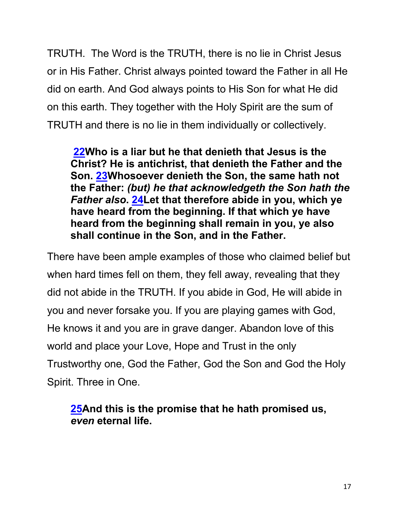TRUTH. The Word is the TRUTH, there is no lie in Christ Jesus or in His Father. Christ always pointed toward the Father in all He did on earth. And God always points to His Son for what He did on this earth. They together with the Holy Spirit are the sum of TRUTH and there is no lie in them individually or collectively.

**22Who is a liar but he that denieth that Jesus is the Christ? He is antichrist, that denieth the Father and the Son. 23Whosoever denieth the Son, the same hath not the Father:** *(but) he that acknowledgeth the Son hath the Father also***. 24Let that therefore abide in you, which ye have heard from the beginning. If that which ye have heard from the beginning shall remain in you, ye also shall continue in the Son, and in the Father.**

There have been ample examples of those who claimed belief but when hard times fell on them, they fell away, revealing that they did not abide in the TRUTH. If you abide in God, He will abide in you and never forsake you. If you are playing games with God, He knows it and you are in grave danger. Abandon love of this world and place your Love, Hope and Trust in the only Trustworthy one, God the Father, God the Son and God the Holy Spirit. Three in One.

## **25And this is the promise that he hath promised us,**  *even* **eternal life.**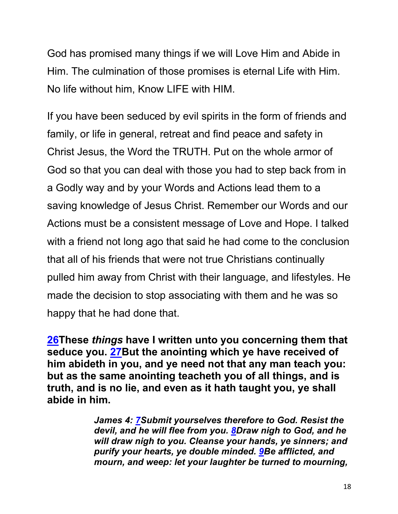God has promised many things if we will Love Him and Abide in Him. The culmination of those promises is eternal Life with Him. No life without him, Know LIFE with HIM.

If you have been seduced by evil spirits in the form of friends and family, or life in general, retreat and find peace and safety in Christ Jesus, the Word the TRUTH. Put on the whole armor of God so that you can deal with those you had to step back from in a Godly way and by your Words and Actions lead them to a saving knowledge of Jesus Christ. Remember our Words and our Actions must be a consistent message of Love and Hope. I talked with a friend not long ago that said he had come to the conclusion that all of his friends that were not true Christians continually pulled him away from Christ with their language, and lifestyles. He made the decision to stop associating with them and he was so happy that he had done that.

**26These** *things* **have I written unto you concerning them that seduce you. 27But the anointing which ye have received of him abideth in you, and ye need not that any man teach you: but as the same anointing teacheth you of all things, and is truth, and is no lie, and even as it hath taught you, ye shall abide in him.**

> *James 4: 7Submit yourselves therefore to God. Resist the devil, and he will flee from you. 8Draw nigh to God, and he will draw nigh to you. Cleanse your hands, ye sinners; and purify your hearts, ye double minded. 9Be afflicted, and mourn, and weep: let your laughter be turned to mourning,*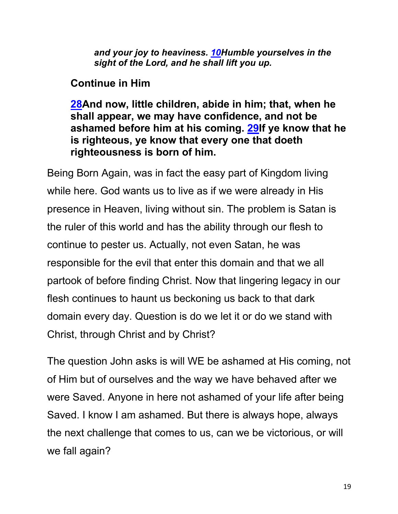*and your joy to heaviness. 10Humble yourselves in the sight of the Lord, and he shall lift you up.*

**Continue in Him**

**28And now, little children, abide in him; that, when he shall appear, we may have confidence, and not be ashamed before him at his coming. 29If ye know that he is righteous, ye know that every one that doeth righteousness is born of him.**

Being Born Again, was in fact the easy part of Kingdom living while here. God wants us to live as if we were already in His presence in Heaven, living without sin. The problem is Satan is the ruler of this world and has the ability through our flesh to continue to pester us. Actually, not even Satan, he was responsible for the evil that enter this domain and that we all partook of before finding Christ. Now that lingering legacy in our flesh continues to haunt us beckoning us back to that dark domain every day. Question is do we let it or do we stand with Christ, through Christ and by Christ?

The question John asks is will WE be ashamed at His coming, not of Him but of ourselves and the way we have behaved after we were Saved. Anyone in here not ashamed of your life after being Saved. I know I am ashamed. But there is always hope, always the next challenge that comes to us, can we be victorious, or will we fall again?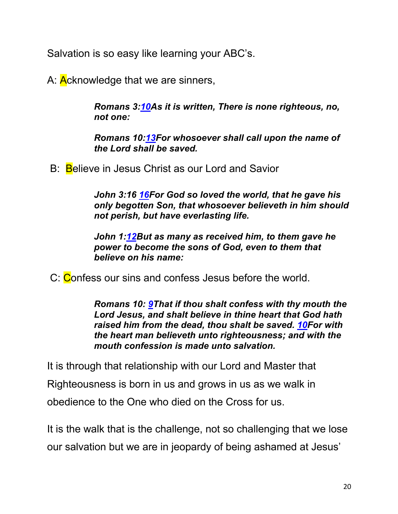Salvation is so easy like learning your ABC's.

A: Acknowledge that we are sinners,

*Romans 3:10As it is written, There is none righteous, no, not one:*

*Romans 10:13For whosoever shall call upon the name of the Lord shall be saved.*

B: Believe in Jesus Christ as our Lord and Savior

*John 3:16 16For God so loved the world, that he gave his only begotten Son, that whosoever believeth in him should not perish, but have everlasting life.* 

*John 1:12But as many as received him, to them gave he power to become the sons of God, even to them that believe on his name:* 

C: Confess our sins and confess Jesus before the world.

*Romans 10: 9That if thou shalt confess with thy mouth the Lord Jesus, and shalt believe in thine heart that God hath raised him from the dead, thou shalt be saved. 10For with the heart man believeth unto righteousness; and with the mouth confession is made unto salvation.* 

It is through that relationship with our Lord and Master that

Righteousness is born in us and grows in us as we walk in

obedience to the One who died on the Cross for us.

It is the walk that is the challenge, not so challenging that we lose our salvation but we are in jeopardy of being ashamed at Jesus'